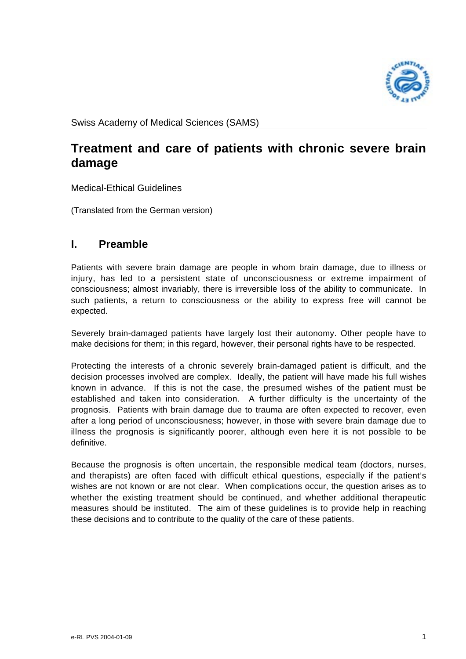

# **Treatment and care of patients with chronic severe brain damage**

Medical-Ethical Guidelines

(Translated from the German version)

## **I. Preamble**

Patients with severe brain damage are people in whom brain damage, due to illness or injury, has led to a persistent state of unconsciousness or extreme impairment of consciousness; almost invariably, there is irreversible loss of the ability to communicate. In such patients, a return to consciousness or the ability to express free will cannot be expected.

Severely brain-damaged patients have largely lost their autonomy. Other people have to make decisions for them; in this regard, however, their personal rights have to be respected.

Protecting the interests of a chronic severely brain-damaged patient is difficult, and the decision processes involved are complex. Ideally, the patient will have made his full wishes known in advance. If this is not the case, the presumed wishes of the patient must be established and taken into consideration. A further difficulty is the uncertainty of the prognosis. Patients with brain damage due to trauma are often expected to recover, even after a long period of unconsciousness; however, in those with severe brain damage due to illness the prognosis is significantly poorer, although even here it is not possible to be definitive.

Because the prognosis is often uncertain, the responsible medical team (doctors, nurses, and therapists) are often faced with difficult ethical questions, especially if the patient's wishes are not known or are not clear. When complications occur, the question arises as to whether the existing treatment should be continued, and whether additional therapeutic measures should be instituted. The aim of these guidelines is to provide help in reaching these decisions and to contribute to the quality of the care of these patients.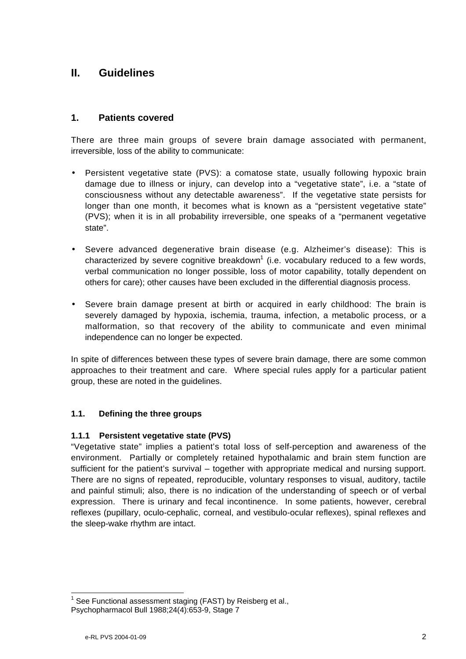## **II. Guidelines**

## **1. Patients covered**

There are three main groups of severe brain damage associated with permanent, irreversible, loss of the ability to communicate:

- Persistent vegetative state (PVS): a comatose state, usually following hypoxic brain damage due to illness or injury, can develop into a "vegetative state", i.e. a "state of consciousness without any detectable awareness". If the vegetative state persists for longer than one month, it becomes what is known as a "persistent vegetative state" (PVS); when it is in all probability irreversible, one speaks of a "permanent vegetative state".
- Severe advanced degenerative brain disease (e.g. Alzheimer's disease): This is characterized by severe cognitive breakdown<sup>1</sup> (i.e. vocabulary reduced to a few words, verbal communication no longer possible, loss of motor capability, totally dependent on others for care); other causes have been excluded in the differential diagnosis process.
- Severe brain damage present at birth or acquired in early childhood: The brain is severely damaged by hypoxia, ischemia, trauma, infection, a metabolic process, or a malformation, so that recovery of the ability to communicate and even minimal independence can no longer be expected.

In spite of differences between these types of severe brain damage, there are some common approaches to their treatment and care. Where special rules apply for a particular patient group, these are noted in the guidelines.

## **1.1. Defining the three groups**

#### **1.1.1 Persistent vegetative state (PVS)**

"Vegetative state" implies a patient's total loss of self-perception and awareness of the environment. Partially or completely retained hypothalamic and brain stem function are sufficient for the patient's survival – together with appropriate medical and nursing support. There are no signs of repeated, reproducible, voluntary responses to visual, auditory, tactile and painful stimuli; also, there is no indication of the understanding of speech or of verbal expression. There is urinary and fecal incontinence. In some patients, however, cerebral reflexes (pupillary, oculo-cephalic, corneal, and vestibulo-ocular reflexes), spinal reflexes and the sleep-wake rhythm are intact.

 <sup>1</sup> See Functional assessment staging (FAST) by Reisberg et al., Psychopharmacol Bull 1988;24(4):653-9, Stage 7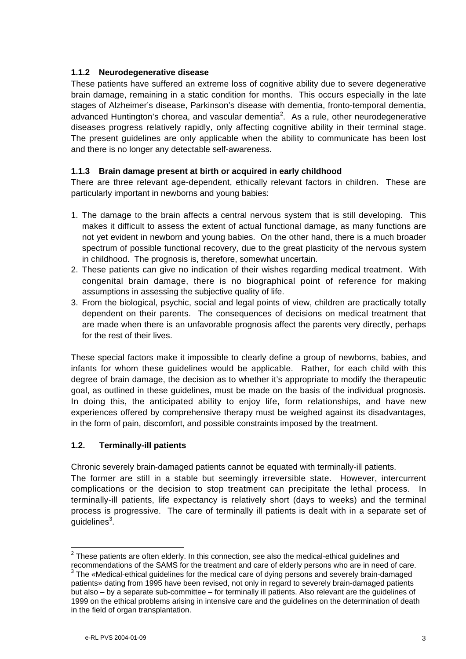## **1.1.2 Neurodegenerative disease**

These patients have suffered an extreme loss of cognitive ability due to severe degenerative brain damage, remaining in a static condition for months. This occurs especially in the late stages of Alzheimer's disease, Parkinson's disease with dementia, fronto-temporal dementia, advanced Huntington's chorea, and vascular dementia<sup>2</sup>. As a rule, other neurodegenerative diseases progress relatively rapidly, only affecting cognitive ability in their terminal stage. The present guidelines are only applicable when the ability to communicate has been lost and there is no longer any detectable self-awareness.

#### **1.1.3 Brain damage present at birth or acquired in early childhood**

There are three relevant age-dependent, ethically relevant factors in children. These are particularly important in newborns and young babies:

- 1. The damage to the brain affects a central nervous system that is still developing. This makes it difficult to assess the extent of actual functional damage, as many functions are not yet evident in newborn and young babies. On the other hand, there is a much broader spectrum of possible functional recovery, due to the great plasticity of the nervous system in childhood. The prognosis is, therefore, somewhat uncertain.
- 2. These patients can give no indication of their wishes regarding medical treatment. With congenital brain damage, there is no biographical point of reference for making assumptions in assessing the subjective quality of life.
- 3. From the biological, psychic, social and legal points of view, children are practically totally dependent on their parents. The consequences of decisions on medical treatment that are made when there is an unfavorable prognosis affect the parents very directly, perhaps for the rest of their lives.

These special factors make it impossible to clearly define a group of newborns, babies, and infants for whom these guidelines would be applicable. Rather, for each child with this degree of brain damage, the decision as to whether it's appropriate to modify the therapeutic goal, as outlined in these guidelines, must be made on the basis of the individual prognosis. In doing this, the anticipated ability to enjoy life, form relationships, and have new experiences offered by comprehensive therapy must be weighed against its disadvantages, in the form of pain, discomfort, and possible constraints imposed by the treatment.

#### **1.2. Terminally-ill patients**

Chronic severely brain-damaged patients cannot be equated with terminally-ill patients.

The former are still in a stable but seemingly irreversible state. However, intercurrent complications or the decision to stop treatment can precipitate the lethal process. In terminally-ill patients, life expectancy is relatively short (days to weeks) and the terminal process is progressive. The care of terminally ill patients is dealt with in a separate set of guidelines<sup>3</sup>.

 <sup>2</sup> These patients are often elderly. In this connection, see also the medical-ethical guidelines and recommendations of the SAMS for the treatment and care of elderly persons who are in need of care.

<sup>&</sup>lt;sup>3</sup> The «Medical-ethical guidelines for the medical care of dying persons and severely brain-damaged patients» dating from 1995 have been revised, not only in regard to severely brain-damaged patients but also – by a separate sub-committee – for terminally ill patients. Also relevant are the guidelines of 1999 on the ethical problems arising in intensive care and the guidelines on the determination of death in the field of organ transplantation.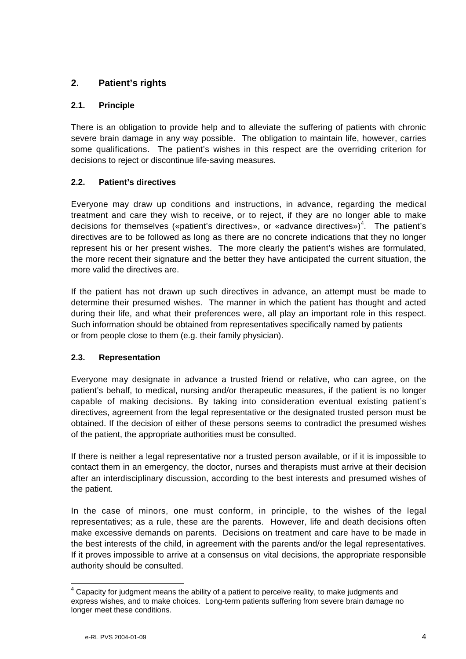## **2. Patient's rights**

## **2.1. Principle**

There is an obligation to provide help and to alleviate the suffering of patients with chronic severe brain damage in any way possible. The obligation to maintain life, however, carries some qualifications. The patient's wishes in this respect are the overriding criterion for decisions to reject or discontinue life-saving measures.

## **2.2. Patient's directives**

Everyone may draw up conditions and instructions, in advance, regarding the medical treatment and care they wish to receive, or to reject, if they are no longer able to make decisions for themselves («patient's directives», or «advance directives»)<sup>4</sup>. The patient's directives are to be followed as long as there are no concrete indications that they no longer represent his or her present wishes. The more clearly the patient's wishes are formulated, the more recent their signature and the better they have anticipated the current situation, the more valid the directives are.

If the patient has not drawn up such directives in advance, an attempt must be made to determine their presumed wishes. The manner in which the patient has thought and acted during their life, and what their preferences were, all play an important role in this respect. Such information should be obtained from representatives specifically named by patients or from people close to them (e.g. their family physician).

## **2.3. Representation**

Everyone may designate in advance a trusted friend or relative, who can agree, on the patient's behalf, to medical, nursing and/or therapeutic measures, if the patient is no longer capable of making decisions. By taking into consideration eventual existing patient's directives, agreement from the legal representative or the designated trusted person must be obtained. If the decision of either of these persons seems to contradict the presumed wishes of the patient, the appropriate authorities must be consulted.

If there is neither a legal representative nor a trusted person available, or if it is impossible to contact them in an emergency, the doctor, nurses and therapists must arrive at their decision after an interdisciplinary discussion, according to the best interests and presumed wishes of the patient.

In the case of minors, one must conform, in principle, to the wishes of the legal representatives; as a rule, these are the parents. However, life and death decisions often make excessive demands on parents. Decisions on treatment and care have to be made in the best interests of the child, in agreement with the parents and/or the legal representatives. If it proves impossible to arrive at a consensus on vital decisions, the appropriate responsible authority should be consulted.

 <sup>4</sup> Capacity for judgment means the ability of a patient to perceive reality, to make judgments and express wishes, and to make choices. Long-term patients suffering from severe brain damage no longer meet these conditions.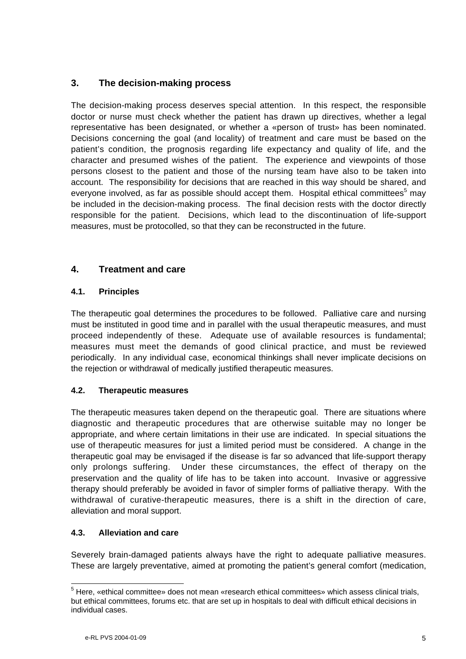## **3. The decision-making process**

The decision-making process deserves special attention. In this respect, the responsible doctor or nurse must check whether the patient has drawn up directives, whether a legal representative has been designated, or whether a «person of trust» has been nominated. Decisions concerning the goal (and locality) of treatment and care must be based on the patient's condition, the prognosis regarding life expectancy and quality of life, and the character and presumed wishes of the patient. The experience and viewpoints of those persons closest to the patient and those of the nursing team have also to be taken into account. The responsibility for decisions that are reached in this way should be shared, and everyone involved, as far as possible should accept them. Hospital ethical committees<sup>5</sup> may be included in the decision-making process. The final decision rests with the doctor directly responsible for the patient. Decisions, which lead to the discontinuation of life-support measures, must be protocolled, so that they can be reconstructed in the future.

## **4. Treatment and care**

## **4.1. Principles**

The therapeutic goal determines the procedures to be followed. Palliative care and nursing must be instituted in good time and in parallel with the usual therapeutic measures, and must proceed independently of these. Adequate use of available resources is fundamental; measures must meet the demands of good clinical practice, and must be reviewed periodically. In any individual case, economical thinkings shall never implicate decisions on the rejection or withdrawal of medically justified therapeutic measures.

## **4.2. Therapeutic measures**

The therapeutic measures taken depend on the therapeutic goal. There are situations where diagnostic and therapeutic procedures that are otherwise suitable may no longer be appropriate, and where certain limitations in their use are indicated. In special situations the use of therapeutic measures for just a limited period must be considered. A change in the therapeutic goal may be envisaged if the disease is far so advanced that life-support therapy only prolongs suffering. Under these circumstances, the effect of therapy on the preservation and the quality of life has to be taken into account. Invasive or aggressive therapy should preferably be avoided in favor of simpler forms of palliative therapy. With the withdrawal of curative-therapeutic measures, there is a shift in the direction of care, alleviation and moral support.

## **4.3. Alleviation and care**

Severely brain-damaged patients always have the right to adequate palliative measures. These are largely preventative, aimed at promoting the patient's general comfort (medication,

\_\_\_\_\_\_\_\_\_\_\_\_\_\_\_\_\_\_\_\_\_\_\_\_\_\_\_\_\_\_\_\_\_\_\_<br><sup>5</sup> Here, «ethical committee» does not mean «research ethical committees» which assess clinical trials, but ethical committees, forums etc. that are set up in hospitals to deal with difficult ethical decisions in individual cases.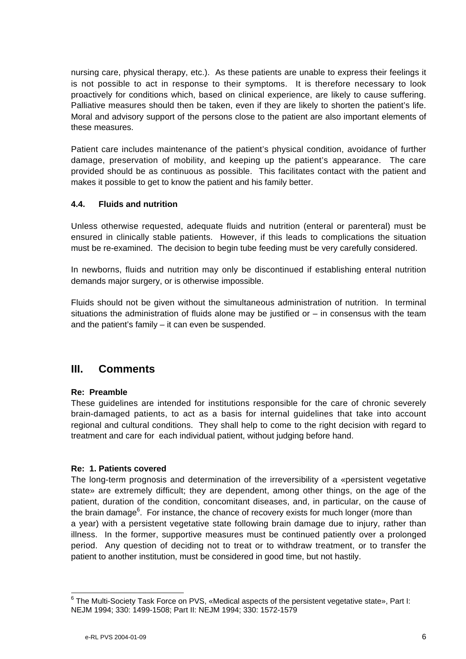nursing care, physical therapy, etc.). As these patients are unable to express their feelings it is not possible to act in response to their symptoms. It is therefore necessary to look proactively for conditions which, based on clinical experience, are likely to cause suffering. Palliative measures should then be taken, even if they are likely to shorten the patient's life. Moral and advisory support of the persons close to the patient are also important elements of these measures.

Patient care includes maintenance of the patient's physical condition, avoidance of further damage, preservation of mobility, and keeping up the patient's appearance. The care provided should be as continuous as possible. This facilitates contact with the patient and makes it possible to get to know the patient and his family better.

#### **4.4. Fluids and nutrition**

Unless otherwise requested, adequate fluids and nutrition (enteral or parenteral) must be ensured in clinically stable patients. However, if this leads to complications the situation must be re-examined. The decision to begin tube feeding must be very carefully considered.

In newborns, fluids and nutrition may only be discontinued if establishing enteral nutrition demands major surgery, or is otherwise impossible.

Fluids should not be given without the simultaneous administration of nutrition. In terminal situations the administration of fluids alone may be justified or – in consensus with the team and the patient's family – it can even be suspended.

## **III. Comments**

#### **Re: Preamble**

These guidelines are intended for institutions responsible for the care of chronic severely brain-damaged patients, to act as a basis for internal guidelines that take into account regional and cultural conditions. They shall help to come to the right decision with regard to treatment and care for each individual patient, without judging before hand.

#### **Re: 1. Patients covered**

The long-term prognosis and determination of the irreversibility of a «persistent vegetative state» are extremely difficult; they are dependent, among other things, on the age of the patient, duration of the condition, concomitant diseases, and, in particular, on the cause of the brain damage<sup>6</sup>. For instance, the chance of recovery exists for much longer (more than a year) with a persistent vegetative state following brain damage due to injury, rather than illness. In the former, supportive measures must be continued patiently over a prolonged period. Any question of deciding not to treat or to withdraw treatment, or to transfer the patient to another institution, must be considered in good time, but not hastily.

\_\_\_\_\_\_\_\_\_\_\_\_\_\_\_\_\_\_\_\_\_\_\_\_\_\_\_\_\_\_\_\_\_\_\_<br><sup>6</sup> The Multi-Society Task Force on PVS, «Medical aspects of the persistent vegetative state», Part I: NEJM 1994; 330: 1499-1508; Part II: NEJM 1994; 330: 1572-1579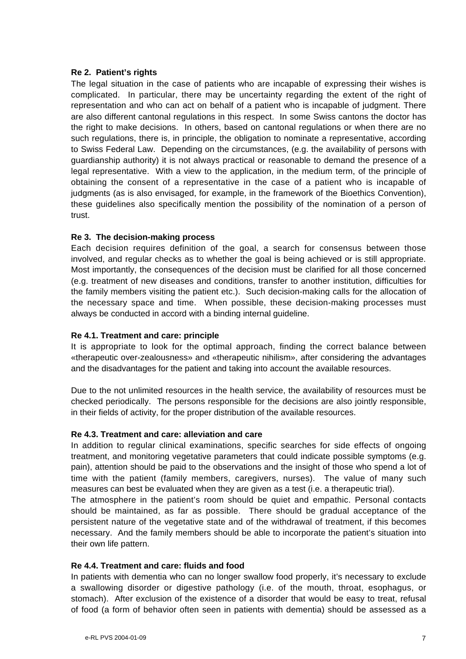#### **Re 2. Patient's rights**

The legal situation in the case of patients who are incapable of expressing their wishes is complicated. In particular, there may be uncertainty regarding the extent of the right of representation and who can act on behalf of a patient who is incapable of judgment. There are also different cantonal regulations in this respect. In some Swiss cantons the doctor has the right to make decisions. In others, based on cantonal regulations or when there are no such regulations, there is, in principle, the obligation to nominate a representative, according to Swiss Federal Law. Depending on the circumstances, (e.g. the availability of persons with guardianship authority) it is not always practical or reasonable to demand the presence of a legal representative. With a view to the application, in the medium term, of the principle of obtaining the consent of a representative in the case of a patient who is incapable of judgments (as is also envisaged, for example, in the framework of the Bioethics Convention), these guidelines also specifically mention the possibility of the nomination of a person of trust.

#### **Re 3. The decision-making process**

Each decision requires definition of the goal, a search for consensus between those involved, and regular checks as to whether the goal is being achieved or is still appropriate. Most importantly, the consequences of the decision must be clarified for all those concerned (e.g. treatment of new diseases and conditions, transfer to another institution, difficulties for the family members visiting the patient etc.). Such decision-making calls for the allocation of the necessary space and time. When possible, these decision-making processes must always be conducted in accord with a binding internal guideline.

#### **Re 4.1. Treatment and care: principle**

It is appropriate to look for the optimal approach, finding the correct balance between «therapeutic over-zealousness» and «therapeutic nihilism», after considering the advantages and the disadvantages for the patient and taking into account the available resources.

Due to the not unlimited resources in the health service, the availability of resources must be checked periodically. The persons responsible for the decisions are also jointly responsible, in their fields of activity, for the proper distribution of the available resources.

#### **Re 4.3. Treatment and care: alleviation and care**

In addition to regular clinical examinations, specific searches for side effects of ongoing treatment, and monitoring vegetative parameters that could indicate possible symptoms (e.g. pain), attention should be paid to the observations and the insight of those who spend a lot of time with the patient (family members, caregivers, nurses). The value of many such measures can best be evaluated when they are given as a test (i.e. a therapeutic trial).

The atmosphere in the patient's room should be quiet and empathic. Personal contacts should be maintained, as far as possible. There should be gradual acceptance of the persistent nature of the vegetative state and of the withdrawal of treatment, if this becomes necessary. And the family members should be able to incorporate the patient's situation into their own life pattern.

#### **Re 4.4. Treatment and care: fluids and food**

In patients with dementia who can no longer swallow food properly, it's necessary to exclude a swallowing disorder or digestive pathology (i.e. of the mouth, throat, esophagus, or stomach). After exclusion of the existence of a disorder that would be easy to treat, refusal of food (a form of behavior often seen in patients with dementia) should be assessed as a